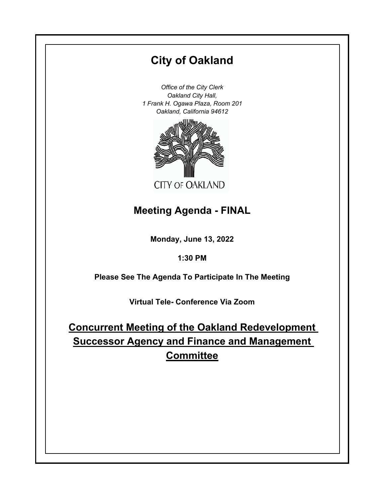# **City of Oakland**

*Office of the City Clerk Oakland City Hall, 1 Frank H. Ogawa Plaza, Room 201 Oakland, California 94612*



## **Meeting Agenda - FINAL**

**Monday, June 13, 2022**

**1:30 PM**

**Please See The Agenda To Participate In The Meeting**

**Virtual Tele- Conference Via Zoom**

**Concurrent Meeting of the Oakland Redevelopment Successor Agency and Finance and Management Committee**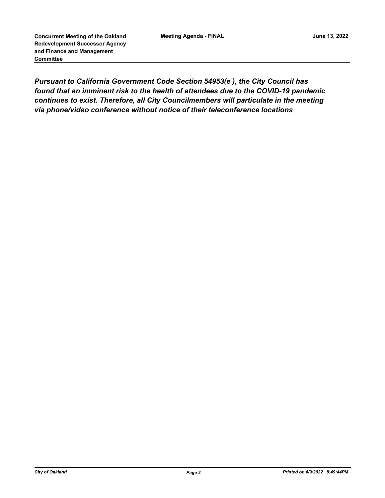*Pursuant to California Government Code Section 54953(e ), the City Council has found that an imminent risk to the health of attendees due to the COVID-19 pandemic continues to exist. Therefore, all City Councilmembers will particulate in the meeting via phone/video conference without notice of their teleconference locations*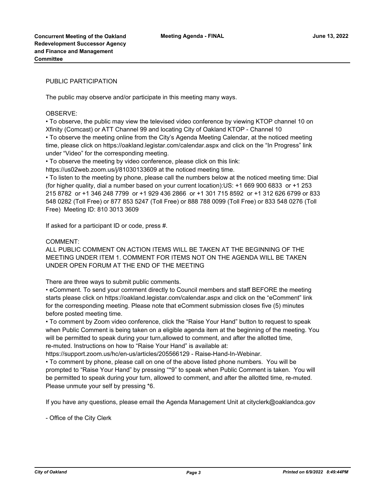#### PUBLIC PARTICIPATION

The public may observe and/or participate in this meeting many ways.

#### OBSERVE:

• To observe, the public may view the televised video conference by viewing KTOP channel 10 on Xfinity (Comcast) or ATT Channel 99 and locating City of Oakland KTOP - Channel 10 • To observe the meeting online from the City's Agenda Meeting Calendar, at the noticed meeting time, please click on https://oakland.legistar.com/calendar.aspx and click on the "In Progress" link under "Video" for the corresponding meeting.

• To observe the meeting by video conference, please click on this link:

https://us02web.zoom.us/j/81030133609 at the noticed meeting time.

• To listen to the meeting by phone, please call the numbers below at the noticed meeting time: Dial (for higher quality, dial a number based on your current location):US: +1 669 900 6833 or +1 253 215 8782 or +1 346 248 7799 or +1 929 436 2866 or +1 301 715 8592 or +1 312 626 6799 or 833 548 0282 (Toll Free) or 877 853 5247 (Toll Free) or 888 788 0099 (Toll Free) or 833 548 0276 (Toll Free) Meeting ID: 810 3013 3609

If asked for a participant ID or code, press #.

#### COMMENT:

ALL PUBLIC COMMENT ON ACTION ITEMS WILL BE TAKEN AT THE BEGINNING OF THE MEETING UNDER ITEM 1. COMMENT FOR ITEMS NOT ON THE AGENDA WILL BE TAKEN UNDER OPEN FORUM AT THE END OF THE MEETING

There are three ways to submit public comments.

• eComment. To send your comment directly to Council members and staff BEFORE the meeting starts please click on https://oakland.legistar.com/calendar.aspx and click on the "eComment" link for the corresponding meeting. Please note that eComment submission closes five (5) minutes before posted meeting time.

• To comment by Zoom video conference, click the "Raise Your Hand" button to request to speak when Public Comment is being taken on a eligible agenda item at the beginning of the meeting. You will be permitted to speak during your turn,allowed to comment, and after the allotted time, re-muted. Instructions on how to "Raise Your Hand" is available at:

https://support.zoom.us/hc/en-us/articles/205566129 - Raise-Hand-In-Webinar.

• To comment by phone, please call on one of the above listed phone numbers. You will be prompted to "Raise Your Hand" by pressing "\*9" to speak when Public Comment is taken. You will be permitted to speak during your turn, allowed to comment, and after the allotted time, re-muted. Please unmute your self by pressing \*6.

If you have any questions, please email the Agenda Management Unit at cityclerk@oaklandca.gov

- Office of the City Clerk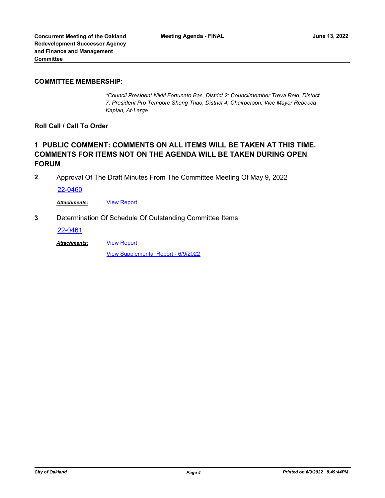#### **COMMITTEE MEMBERSHIP:**

*\*Council President Nikki Fortunato Bas, District 2; Councilmember Treva Reid, District 7; President Pro Tempore Sheng Thao, District 4; Chairperson: Vice Mayor Rebecca Kaplan, At-Large*

**Roll Call / Call To Order**

### **1 PUBLIC COMMENT: COMMENTS ON ALL ITEMS WILL BE TAKEN AT THIS TIME. COMMENTS FOR ITEMS NOT ON THE AGENDA WILL BE TAKEN DURING OPEN FORUM**

**2** Approval Of The Draft Minutes From The Committee Meeting Of May 9, 2022

[22-0460](http://oakland.legistar.com/gateway.aspx?m=l&id=/matter.aspx?key=33381)

*Attachments:* [View Report](http://oakland.legistar.com/gateway.aspx?M=F&ID=c6708c4e-6c9e-4a0f-a1e5-2dfd8589ddc9.pdf)

**3** Determination Of Schedule Of Outstanding Committee Items

[22-0461](http://oakland.legistar.com/gateway.aspx?m=l&id=/matter.aspx?key=33382)

[View Report](http://oakland.legistar.com/gateway.aspx?M=F&ID=f6668e6e-636f-47b0-a374-aa603f0305ba.pdf) *Attachments:*

[View Supplemental Report - 6/9/2022](http://oakland.legistar.com/gateway.aspx?M=F&ID=7ca1024f-fc86-45c3-82ed-c35aebb02199.pdf)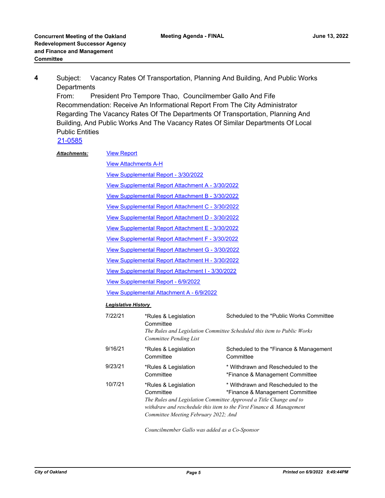Subject: Vacancy Rates Of Transportation, Planning And Building, And Public Works **Departments 4**

From: President Pro Tempore Thao, Councilmember Gallo And Fife Recommendation: Receive An Informational Report From The City Administrator Regarding The Vacancy Rates Of The Departments Of Transportation, Planning And Building, And Public Works And The Vacancy Rates Of Similar Departments Of Local Public Entities

[21-0585](http://oakland.legistar.com/gateway.aspx?m=l&id=/matter.aspx?key=32508)

| <b>Attachments:</b> | <b>View Report</b>                                |                                                                           |                                                                                                                                                                                                                       |  |  |  |
|---------------------|---------------------------------------------------|---------------------------------------------------------------------------|-----------------------------------------------------------------------------------------------------------------------------------------------------------------------------------------------------------------------|--|--|--|
|                     | <b>View Attachments A-H</b>                       |                                                                           |                                                                                                                                                                                                                       |  |  |  |
|                     | View Supplemental Report - 3/30/2022              |                                                                           |                                                                                                                                                                                                                       |  |  |  |
|                     | View Supplemental Report Attachment A - 3/30/2022 |                                                                           |                                                                                                                                                                                                                       |  |  |  |
|                     | View Supplemental Report Attachment B - 3/30/2022 |                                                                           |                                                                                                                                                                                                                       |  |  |  |
|                     | View Supplemental Report Attachment C - 3/30/2022 |                                                                           |                                                                                                                                                                                                                       |  |  |  |
|                     | View Supplemental Report Attachment D - 3/30/2022 |                                                                           |                                                                                                                                                                                                                       |  |  |  |
|                     | View Supplemental Report Attachment E - 3/30/2022 |                                                                           |                                                                                                                                                                                                                       |  |  |  |
|                     | View Supplemental Report Attachment F - 3/30/2022 |                                                                           |                                                                                                                                                                                                                       |  |  |  |
|                     | View Supplemental Report Attachment G - 3/30/2022 |                                                                           |                                                                                                                                                                                                                       |  |  |  |
|                     | View Supplemental Report Attachment H - 3/30/2022 |                                                                           |                                                                                                                                                                                                                       |  |  |  |
|                     | View Supplemental Report Attachment I - 3/30/2022 |                                                                           |                                                                                                                                                                                                                       |  |  |  |
|                     |                                                   | View Supplemental Report - 6/9/2022                                       |                                                                                                                                                                                                                       |  |  |  |
|                     | View Supplemental Attachment A - 6/9/2022         |                                                                           |                                                                                                                                                                                                                       |  |  |  |
|                     | <b>Legislative History</b>                        |                                                                           |                                                                                                                                                                                                                       |  |  |  |
|                     | 7/22/21                                           | *Rules & Legislation<br>Committee                                         | Scheduled to the *Public Works Committee                                                                                                                                                                              |  |  |  |
|                     |                                                   | The Rules and Legislation Committee Scheduled this item to Public Works   |                                                                                                                                                                                                                       |  |  |  |
|                     | 9/16/21                                           | *Rules & Legislation<br>Committee                                         | Scheduled to the *Finance & Management<br>Committee                                                                                                                                                                   |  |  |  |
|                     | 9/23/21                                           | *Rules & Legislation<br>Committee                                         | * Withdrawn and Rescheduled to the<br>*Finance & Management Committee                                                                                                                                                 |  |  |  |
|                     | 10/7/21                                           | *Rules & Legislation<br>Committee<br>Committee Meeting February 2022; And | * Withdrawn and Rescheduled to the<br>*Finance & Management Committee<br>The Rules and Legislation Committee Approved a Title Change and to<br>withdraw and reschedule this item to the First Finance $\&$ Management |  |  |  |

*Councilmember Gallo was added as a Co-Sponsor*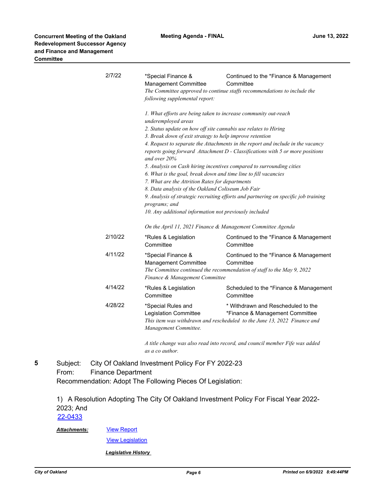| 2/7/22  | *Special Finance &<br>Management Committee<br>following supplemental report:                                                                                                                                                                                                                                                                                                                                                                                                                                                                                                                                                                                                                                                                        | Continued to the *Finance & Management<br>Committee<br>The Committee approved to continue staffs recommendations to include the                   |  |
|---------|-----------------------------------------------------------------------------------------------------------------------------------------------------------------------------------------------------------------------------------------------------------------------------------------------------------------------------------------------------------------------------------------------------------------------------------------------------------------------------------------------------------------------------------------------------------------------------------------------------------------------------------------------------------------------------------------------------------------------------------------------------|---------------------------------------------------------------------------------------------------------------------------------------------------|--|
|         | 1. What efforts are being taken to increase community out-reach<br>underemployed areas<br>2. Status update on how off site cannabis use relates to Hiring<br>3. Break down of exit strategy to help improve retention<br>4. Request to separate the Attachments in the report and include in the vacancy<br>reports going forward Attachment D - Classifications with 5 or more positions<br>and over 20%<br>5. Analysis on Cash hiring incentives compared to surrounding cities<br>6. What is the goal, break down and time line to fill vacancies<br>7. What are the Attrition Rates for departments<br>8. Data analysis of the Oakland Coliseum Job Fair<br>9. Analysis of strategic recruiting efforts and partnering on specific job training |                                                                                                                                                   |  |
|         | programs; and<br>10. Any additional information not previously included<br>On the April 11, 2021 Finance & Management Committee Agenda                                                                                                                                                                                                                                                                                                                                                                                                                                                                                                                                                                                                              |                                                                                                                                                   |  |
| 2/10/22 | *Rules & Legislation<br>Committee                                                                                                                                                                                                                                                                                                                                                                                                                                                                                                                                                                                                                                                                                                                   | Continued to the *Finance & Management<br>Committee                                                                                               |  |
| 4/11/22 | *Special Finance &<br><b>Management Committee</b><br>Finance & Management Committee                                                                                                                                                                                                                                                                                                                                                                                                                                                                                                                                                                                                                                                                 | Continued to the *Finance & Management<br>Committee<br>The Committee continued the recommendation of staff to the May 9, 2022                     |  |
| 4/14/22 | *Rules & Legislation<br>Committee                                                                                                                                                                                                                                                                                                                                                                                                                                                                                                                                                                                                                                                                                                                   | Scheduled to the *Finance & Management<br>Committee                                                                                               |  |
| 4/28/22 | *Special Rules and<br>Legislation Committee<br>Management Committee.                                                                                                                                                                                                                                                                                                                                                                                                                                                                                                                                                                                                                                                                                | * Withdrawn and Rescheduled to the<br>*Finance & Management Committee<br>This item was withdrawn and rescheduled to the June 13, 2022 Finance and |  |
|         |                                                                                                                                                                                                                                                                                                                                                                                                                                                                                                                                                                                                                                                                                                                                                     | $\ell$ and a change come of a constant contained and constant manches $E(\ell_1, \ldots, \ell_n)$                                                 |  |

*A title change was also read into record, and council member Fife was added as a co author.*

Subject: City Of Oakland Investment Policy For FY 2022-23 From: Finance Department Recommendation: Adopt The Following Pieces Of Legislation: **5**

> 1) A Resolution Adopting The City Of Oakland Investment Policy For Fiscal Year 2022- 2023; And

[22-0433](http://oakland.legistar.com/gateway.aspx?m=l&id=/matter.aspx?key=33354)

[View Report](http://oakland.legistar.com/gateway.aspx?M=F&ID=3bed2c84-7afe-48ba-9bed-5b52465da0ac.pdf) *Attachments:*

[View Legislation](http://oakland.legistar.com/gateway.aspx?M=F&ID=ffd8061c-12b3-465e-b1b8-0f3bd157064b.PDF)

*Legislative History*